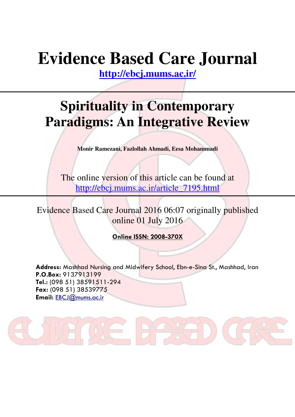# **Evidence Based Care Journal**

**http://ebcj.mums.ac.ir/**

## **Spirituality in Contemporary Paradigms: An Integrative Review**

**Monir Ramezani, Fazlollah Ahmadi, Eesa Mohammadi** 

The online version of this article can be found at http://ebcj.mums.ac.ir/article\_7195.html

Evidence Based Care Journal 2016 06:07 originally published online 01 July 2016

Online ISSN: 2008-370X

Address: Mashhad Nursing and Midwifery School, Ebn-e-Sina St., Mashhad, Iran P.O.Box: 9137913199 Tel.: (098 51) 38591511-294 Fax: (098 51) 38539775 Email: EBCJ@mums.ac.ir

 $=$   $\parallel$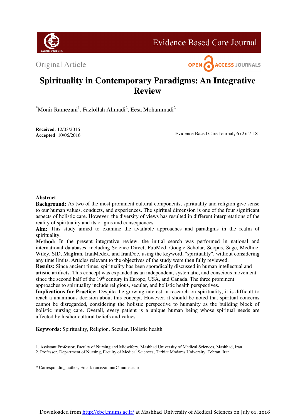

**Evidence Based Care Journal** 

Original Article



### **Spirituality in Contemporary Paradigms: An Integrative Review**

\*Monir Ramezani<sup>1</sup>, Fazlollah Ahmadi<sup>2</sup>, Eesa Mohammadi<sup>2</sup>

**Received**: 12/03/2016  **Accepted**: 10/06/2016

Evidence Based Care Journal, 6 (2): 7-18

#### **Abstract**

**Background:** As two of the most prominent cultural components, spirituality and religion give sense to our human values, conducts, and experiences. The spiritual dimension is one of the four significant aspects of holistic care. However, the diversity of views has resulted in different interpretations of the reality of spirituality and its origins and consequences.

**Aim:** This study aimed to examine the available approaches and paradigms in the realm of spirituality.

Method: In the present integrative review, the initial search was performed in national and international databases, including Science Direct, PubMed, Google Scholar, Scopus, Sage, Medline, Wiley, SID, MagIran, IranMedex, and IranDoc, using the keyword, "spirituality", without considering any time limits. Articles relevant to the objectives of the study were then fully reviewed.

**Results:** Since ancient times, spirituality has been sporadically discussed in human intellectual and artistic artifacts. This concept was expanded as an independent, systematic, and conscious movement since the second half of the 19<sup>th</sup> century in Europe, USA, and Canada. The three prominent

approaches to spirituality include religious, secular, and holistic health perspectives.

**Implications for Practice:** Despite the growing interest in research on spirituality, it is difficult to reach a unanimous decision about this concept. However, it should be noted that spiritual concerns cannot be disregarded, considering the holistic perspective to humanity as the building block of holistic nursing care. Overall, every patient is a unique human being whose spiritual needs are affected by his/her cultural beliefs and values.

**Keywords:** Spirituality, Religion, Secular, Holistic health

1. Assistant Professor, Faculty of Nursing and Midwifery, Mashhad University of Medical Sciences, Mashhad, Iran

<sup>2.</sup> Professor, Department of Nursing, Faculty of Medical Sciences, Tarbiat Modares University, Tehran, Iran

<sup>\*</sup> Corresponding author, Email: ramezanimn@mums.ac.ir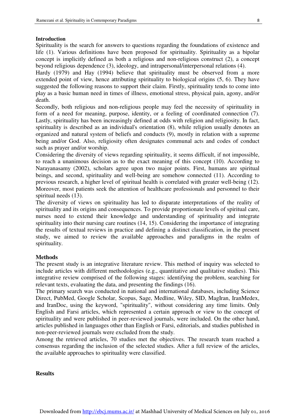#### **Introduction**

Spirituality is the search for answers to questions regarding the foundations of existence and life (1). Various definitions have been proposed for spirituality. Spirituality as a bipolar concept is implicitly defined as both a religious and non-religious construct (2), a concept beyond religious dependence (3), ideology, and intrapersonal/interpersonal relations (4).

٦

Hardy (1979) and Hay (1994) believe that spirituality must be observed from a more extended point of view, hence attributing spirituality to biological origins (5, 6). They have suggested the following reasons to support their claim. Firstly, spirituality tends to come into play as a basic human need in times of illness, emotional stress, physical pain, agony, and/or death.

Secondly, both religious and non-religious people may feel the necessity of spirituality in form of a need for meaning, purpose, identity, or a feeling of coordinated connection (7). Lastly, spirituality has been increasingly defined at odds with religion and religiosity. In fact, spirituality is described as an individual's orientation (8), while religion usually denotes an organized and natural system of beliefs and conducts (9), mostly in relation with a supreme being and/or God. Also, religiosity often designates communal acts and codes of conduct such as prayer and/or worship.

Considering the diversity of views regarding spirituality, it seems difficult, if not impossible, to reach a unanimous decision as to the exact meaning of this concept (10). According to Narayanasamy (2002), scholars agree upon two major points. First, humans are spiritual beings, and second, spirituality and well-being are somehow connected (11). According to previous research, a higher level of spiritual health is correlated with greater well-being (12). Moreover, most patients seek the attention of healthcare professionals and personnel to their spiritual needs (13).

The diversity of views on spirituality has led to disparate interpretations of the reality of spirituality and its origins and consequences. To provide proportionate levels of spiritual care, nurses need to extend their knowledge and understanding of spirituality and integrate spirituality into their nursing care routines (14, 15). Considering the importance of integrating the results of textual reviews in practice and defining a distinct classification, in the present study, we aimed to review the available approaches and paradigms in the realm of spirituality.

#### **Methods**

The present study is an integrative literature review. This method of inquiry was selected to include articles with different methodologies (e.g., quantitative and qualitative studies). This integrative review comprised of the following stages: identifying the problem, searching for relevant texts, evaluating the data, and presenting the findings (16).

The primary search was conducted in national and international databases, including Science Direct, PubMed, Google Scholar, Scopus, Sage, Medline, Wiley, SID, MagIran, IranMedex, and IranDoc, using the keyword, "spirituality", without considering any time limits. Only English and Farsi articles, which represented a certain approach or view to the concept of spirituality and were published in peer-reviewed journals, were included. On the other hand, articles published in languages other than English or Farsi, editorials, and studies published in non-peer-reviewed journals were excluded from the study.

Among the retrieved articles, 70 studies met the objectives. The research team reached a consensus regarding the inclusion of the selected studies. After a full review of the articles, the available approaches to spirituality were classified.

#### **Results**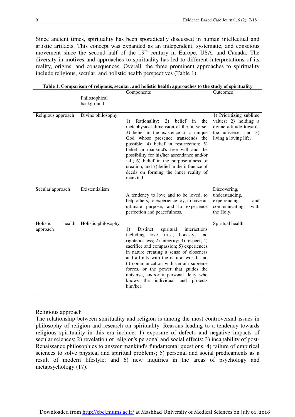Since ancient times, spirituality has been sporadically discussed in human intellectual and artistic artifacts. This concept was expanded as an independent, systematic, and conscious movement since the second half of the 19<sup>th</sup> century in Europe, USA, and Canada. The diversity in motives and approaches to spirituality has led to different interpretations of its reality, origins, and consequences. Overall, the three prominent approaches to spirituality include religious, secular, and holistic health perspectives (Table 1).

| Table 1. Comparison of religious, secular, and holistic health approaches to the study of spirituality |  |  |
|--------------------------------------------------------------------------------------------------------|--|--|
|                                                                                                        |  |  |

|                      |        | Philosophical<br>background | Components                                                                                                                                                                                                                                                                                                                                                                                                                                                 | Outcomes                                                                                                                       |
|----------------------|--------|-----------------------------|------------------------------------------------------------------------------------------------------------------------------------------------------------------------------------------------------------------------------------------------------------------------------------------------------------------------------------------------------------------------------------------------------------------------------------------------------------|--------------------------------------------------------------------------------------------------------------------------------|
| Religious approach   |        | Divine philosophy           | Rationality;<br>2)<br>belief<br>the<br>1)<br>in<br>metaphysical dimension of the universe;<br>3) belief in the existence of a unique<br>God whose presence transcends the<br>possible; 4) belief in resurrection; 5)<br>belief in mankind's free will and the<br>possibility for his/her ascendance and/or<br>fall; 6) belief in the purposefulness of<br>creation; and 7) belief in the influence of<br>deeds on forming the inner reality of<br>mankind. | 1) Prioritizing sublime<br>values; 2) holding a<br>divine attitude towards<br>the universe; and $3$ )<br>living a loving life. |
| Secular approach     |        | Existentialism              | A tendency to love and to be loved, to<br>help others, to experience joy, to have an<br>ultimate purpose, and to experience<br>perfection and peacefulness.                                                                                                                                                                                                                                                                                                | Discovering,<br>understanding,<br>experiencing,<br>and<br>communicating<br>with<br>the Holy.                                   |
| Holistic<br>approach | health | Holistic philosophy         | Distinct<br>1)<br>spiritual<br>interactions<br>including love, trust, honesty, and<br>righteousness; 2) integrity; 3) respect; 4)<br>sacrifice and compassion; 5) experiences<br>in nature creating a sense of closeness<br>and affinity with the natural world; and<br>6) communication with certain supreme<br>forces, or the power that guides the<br>universe, and/or a personal deity who<br>individual<br>knows the<br>and protects<br>him/her.      | Spiritual health                                                                                                               |

Religious approach

The relationship between spirituality and religion is among the most controversial issues in philosophy of religion and research on spirituality. Reasons leading to a tendency towards religious spirituality in this era include: 1) exposure of defects and negative impacts of secular sciences; 2) revelation of religion's personal and social effects; 3) incapability of post-Renaissance philosophies to answer mankind's fundamental questions; 4) failure of empirical sciences to solve physical and spiritual problems; 5) personal and social predicaments as a result of modern lifestyle; and 6) new inquiries in the areas of psychology and metapsychology (17).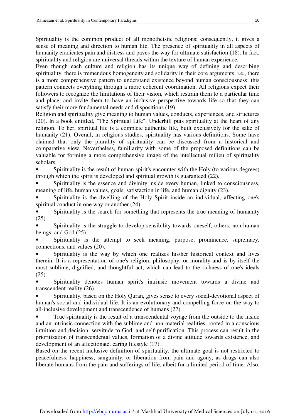Spirituality is the common product of all monotheistic religions; consequently, it gives a sense of meaning and direction to human life. The presence of spirituality in all aspects of humanity eradicates pain and distress and paves the way for ultimate satisfaction (18). In fact, spirituality and religion are universal threads within the texture of human experience.

٦

Even though each culture and religion has its unique way of defining and describing spirituality, there is tremendous homogeneity and solidarity in their core arguments, i.e., there is a more comprehensive pattern to understand existence beyond human consciousness; this pattern connects everything through a more coherent coordination. All religions expect their followers to recognize the limitations of their vision, which restrain them to a particular time and place, and invite them to have an inclusive perspective towards life so that they can satisfy their more fundamental needs and dispositions (19).

Religion and spirituality give meaning to human values, conducts, experiences, and structures (20). In a book entitled, "The Spiritual Life", Underhill puts spirituality at the heart of any religion. To her, spiritual life is a complete authentic life, built exclusively for the sake of humanity (21). Overall, in religious studies, spirituality has various definitions. Some have claimed that only the plurality of spirituality can be discussed from a historical and comparative view. Nevertheless, familiarity with some of the proposed definitions can be valuable for forming a more comprehensive image of the intellectual milieu of spirituality scholars:

Spirituality is the result of human spirit's encounter with the Holy (to various degrees) through which the spirit is developed and spiritual growth is guaranteed (22).

Spirituality is the essence and divinity inside every human, linked to consciousness, meaning of life, human values, goals, satisfaction in life, and human dignity (23).

• Spirituality is the dwelling of the Holy Spirit inside an individual, affecting one's spiritual conduct in one way or another (24).

Spirituality is the search for something that represents the true meaning of humanity (25).

Spirituality is the struggle to develop sensibility towards oneself, others, non-human beings, and God (25).

Spirituality is the attempt to seek meaning, purpose, prominence, supremacy, connections, and values (20).

• Spirituality is the way by which one realizes his/her historical context and lives therein. It is a representation of one's religion, philosophy, or morality and is by itself the most sublime, dignified, and thoughtful act, which can lead to the richness of one's ideals (25).

• Spirituality denotes human spirit's intrinsic movement towards a divine and transcendent reality (26).

• Spirituality, based on the Holy Quran, gives sense to every social-devotional aspect of human's social and individual life. It is an evolutionary and compelling force on the way to all-inclusive development and transcendence of humans (27).

• True spirituality is the result of a transcendental voyage from the outside to the inside and an intrinsic connection with the sublime and non-material realities, rooted in a conscious intuition and decision, servitude to God, and self-purification. This process can result in the prioritization of transcendental values, formation of a divine attitude towards existence, and development of an affectionate, caring lifestyle (17).

Based on the recent inclusive definition of spirituality, the ultimate goal is not restricted to peacefulness, happiness, sanguinity, or liberation from pain and agony, as drugs can also liberate humans from the pain and sufferings of life, albeit for a limited period of time. Also,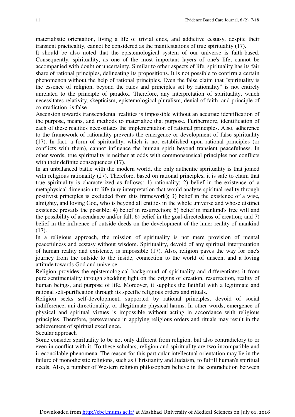materialistic orientation, living a life of trivial ends, and addictive ecstasy, despite their transient practicality, cannot be considered as the manifestations of true spirituality (17).

It should be also noted that the epistemological system of our universe is faith-based. Consequently, spirituality, as one of the most important layers of one's life, cannot be accompanied with doubt or uncertainty. Similar to other aspects of life, spirituality has its fair share of rational principles, delineating its propositions. It is not possible to confirm a certain phenomenon without the help of rational principles. Even the false claim that "spirituality is the essence of religion, beyond the rules and principles set by rationality" is not entirely unrelated to the principle of paradox. Therefore, any interpretation of spirituality, which necessitates relativity, skepticism, epistemological pluralism, denial of faith, and principle of contradiction, is false.

Ascension towards transcendental realities is impossible without an accurate identification of the purpose, means, and methods to materialize that purpose. Furthermore, identification of each of these realities necessitates the implementation of rational principles. Also, adherence to the framework of rationality prevents the emergence or development of false spirituality (17). In fact, a form of spirituality, which is not established upon rational principles (or conflicts with them), cannot influence the human spirit beyond transient peacefulness. In other words, true spirituality is neither at odds with commonsensical principles nor conflicts with their definite consequences (17).

In an unbalanced battle with the modern world, the only authentic spirituality is that joined with religious rationality (27). Therefore, based on rational principles, it is safe to claim that true spirituality is characterized as follows: 1) rationality; 2) belief in the existence of a metaphysical dimension to life (any interpretation that would analyze spiritual reality through positivist principles is excluded from this framework); 3) belief in the existence of a wise, almighty, and loving God, who is beyond all entities in the whole universe and whose distinct existence prevails the possible; 4) belief in resurrection; 5) belief in mankind's free will and the possibility of ascendance and/or fall; 6) belief in the goal-directedness of creation; and 7) belief in the influence of outside deeds on the development of the inner reality of mankind (17).

In a religious approach, the mission of spirituality is not mere provision of mental peacefulness and ecstasy without wisdom. Spirituality, devoid of any spiritual interpretation of human reality and existence, is impossible (17). Also, religion paves the way for one's journey from the outside to the inside, connection to the world of unseen, and a loving attitude towards God and universe.

Religion provides the epistemological background of spirituality and differentiates it from pure sentimentality through shedding light on the origins of creation, resurrection, reality of human beings, and purpose of life. Moreover, it supplies the faithful with a legitimate and rational self-purification through its specific religious orders and rituals.

Religion seeks self-development, supported by rational principles, devoid of social indifference, uni-directionality, or illegitimate physical harms. In other words, emergence of physical and spiritual virtues is impossible without acting in accordance with religious principles. Therefore, perseverance in applying religious orders and rituals may result in the achievement of spiritual excellence.

Secular approach

Some consider spirituality to be not only different from religion, but also contradictory to or even in conflict with it. To these scholars, religion and spirituality are two incompatible and irreconcilable phenomena. The reason for this particular intellectual orientation may lie in the failure of monotheistic religions, such as Christianity and Judaism, to fulfill human's spiritual needs. Also, a number of Western religion philosophers believe in the contradiction between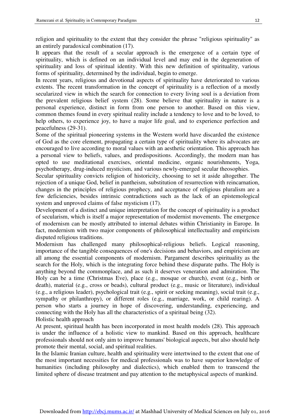religion and spirituality to the extent that they consider the phrase "religious spirituality" as an entirely paradoxical combination (17).

٦

It appears that the result of a secular approach is the emergence of a certain type of spirituality, which is defined on an individual level and may end in the degeneration of spirituality and loss of spiritual identity. With this new definition of spirituality, various forms of spirituality, determined by the individual, begin to emerge.

In recent years, religious and devotional aspects of spirituality have deteriorated to various extents. The recent transformation in the concept of spirituality is a reflection of a mostly secularized view in which the search for connection to every living soul is a deviation from the prevalent religious belief system (28). Some believe that spirituality in nature is a personal experience, distinct in form from one person to another. Based on this view, common themes found in every spiritual reality include a tendency to love and to be loved, to help others, to experience joy, to have a major life goal, and to experience perfection and peacefulness (29-31).

Some of the spiritual pioneering systems in the Western world have discarded the existence of God as the core element, propagating a certain type of spirituality where its advocates are encouraged to live according to moral values with an aesthetic orientation. This approach has a personal view to beliefs, values, and predispositions. Accordingly, the modern man has opted to use meditational exercises, oriental medicine, organic nourishments, Yoga, psychotherapy, drug-induced mysticism, and various newly-emerged secular theosophies.

Secular spirituality convicts religion of historicity, choosing to set it aside altogether. The rejection of a unique God, belief in pantheism, substitution of resurrection with reincarnation, changes in the principles of religious prophecy, and acceptance of religious pluralism are a few deficiencies, besides intrinsic contradictions such as the lack of an epistemological system and unproved claims of false mysticism (17).

Development of a distinct and unique interpretation for the concept of spirituality is a product of secularism, which is itself a major representation of modernist movements. The emergence of modernism can be mostly attributed to internal debates within Christianity in Europe. In fact, modernism with two major components of philosophical intellectuality and empiricism disputed religious traditions.

Modernism has challenged many philosophical-religious beliefs. Logical reasoning, importance of the tangible consequences of one's decisions and behaviors, and empiricism are all among the essential components of modernism. Pargament describes spirituality as the search for the Holy, which is the integrating force behind these disparate paths. The Holy is anything beyond the commonplace, and as such it deserves veneration and admiration. The Holy can be a time (Christmas Eve), place (e.g., mosque or church), event (e.g., birth or death), material (e.g., cross or beads), cultural product (e.g., music or literature), individual (e.g., a religious leader), psychological trait (e.g., spirit or seeking meaning), social trait (e.g., sympathy or philanthropy), or different roles (e.g., marriage, work, or child rearing). A person who starts a journey in hope of discovering, understanding, experiencing, and connecting with the Holy has all the characteristics of a spiritual being (32). Holistic health approach

At present, spiritual health has been incorporated in most health models (28). This approach is under the influence of a holistic view to mankind. Based on this approach, healthcare professionals should not only aim to improve humans' biological aspects, but also should help promote their mental, social, and spiritual realities.

In the Islamic Iranian culture, health and spirituality were intertwined to the extent that one of the most important necessities for medical professionals was to have superior knowledge of humanities (including philosophy and dialectics), which enabled them to transcend the limited sphere of disease treatment and pay attention to the metaphysical aspects of mankind.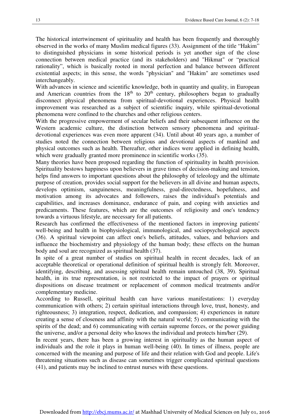The historical intertwinement of spirituality and health has been frequently and thoroughly observed in the works of many Muslim medical figures (33). Assignment of the title "Hakim" to distinguished physicians in some historical periods is yet another sign of the close connection between medical practice (and its stakeholders) and "Hikmat" or "practical rationality", which is basically rooted in moral perfection and balance between different existential aspects; in this sense, the words "physician" and "Hakim" are sometimes used interchangeably.

With advances in science and scientific knowledge, both in quantity and quality, in European and American countries from the  $18<sup>th</sup>$  to  $20<sup>th</sup>$  century, philosophers began to gradually disconnect physical phenomena from spiritual-devotional experiences. Physical health improvement was researched as a subject of scientific inquiry, while spiritual-devotional phenomena were confined to the churches and other religious centers.

With the progressive empowerment of secular beliefs and their subsequent influence on the Western academic culture, the distinction between sensory phenomena and spiritualdevotional experiences was even more apparent (34). Until about 40 years ago, a number of studies noted the connection between religious and devotional aspects of mankind and physical outcomes such as health. Thereafter, other indices were applied in defining health, which were gradually granted more prominence in scientific works  $(35)$ .

Many theories have been proposed regarding the function of spirituality in health provision. Spirituality bestows happiness upon believers in grave times of decision-making and tension, helps find answers to important questions about the philosophy of teleology and the ultimate purpose of creation, provides social support for the believers in all divine and human aspects, develops optimism, sanguineness, meaningfulness, goal-directedness, hopefulness, and motivation among its advocates and followers, raises the individual's potentials and capabilities, and increases dominance, endurance of pain, and coping with anxieties and predicaments. These features, which are the outcomes of religiosity and one's tendency towards a virtuous lifestyle, are necessary for all patients.

Research has confirmed the effectiveness of the mentioned factors in improving patients' well-being and health in biophysiological, immunological, and sociopsychological aspects (36). A spiritual viewpoint can affect one's beliefs, attitudes, values, and behaviors and influence the biochemistry and physiology of the human body; these effects on the human body and soul are recognized as spiritual health (37).

In spite of a great number of studies on spiritual health in recent decades, lack of an acceptable theoretical or operational definition of spiritual health is strongly felt. Moreover, identifying, describing, and assessing spiritual health remain untouched (38, 39). Spiritual health, in its true representation, is not restricted to the impact of prayers or spiritual dispositions on disease treatment or replacement of common medical treatments and/or complementary medicine.

According to Russell, spiritual health can have various manifestations: 1) everyday communication with others; 2) certain spiritual interactions through love, trust, honesty, and righteousness; 3) integration, respect, dedication, and compassion; 4) experiences in nature creating a sense of closeness and affinity with the natural world; 5) communicating with the spirits of the dead; and 6) communicating with certain supreme forces, or the power guiding the universe, and/or a personal deity who knows the individual and protects him/her (29).

In recent years, there has been a growing interest in spirituality as the human aspect of individuals and the role it plays in human well-being (40). In times of illness, people are concerned with the meaning and purpose of life and their relation with God and people. Life's threatening situations such as disease can sometimes trigger complicated spiritual questions (41), and patients may be inclined to entrust nurses with these questions.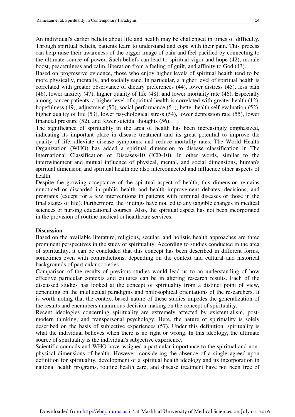An individual's earlier beliefs about life and health may be challenged in times of difficulty. Through spiritual beliefs, patients learn to understand and cope with their pain. This process can help raise their awareness of the bigger image of pain and feel pacified by connecting to the ultimate source of power. Such beliefs can lead to spiritual vigor and hope (42), morale boost, peacefulness and calm, liberation from a feeling of guilt, and affinity to God (43).

٦

Based on progressive evidence, those who enjoy higher levels of spiritual health tend to be more physically, mentally, and socially sane. In particular, a higher level of spiritual health is correlated with greater observance of dietary preferences (44), lower distress (45), less pain (46), lower anxiety (47), higher quality of life (48), and lower mortality rate (46). Especially among cancer patients, a higher level of spiritual health is correlated with greater health (12), hopefulness (49), adjustment (50), social performance (51), better health self-evaluation (52), higher quality of life (53), lower psychological stress (54), lower depression rate (55), lower financial pressure (52), and fewer suicidal thoughts (56).

The significance of spirituality in the area of health has been increasingly emphasized, indicating its important place in disease treatment and its great potential to improve the quality of life, alleviate disease symptoms, and reduce mortality rates. The World Health Organization (WHO) has added a spiritual dimension to disease classification in The International Classification of Diseases-10 (ICD-10). In other words, similar to the intertwinement and mutual influence of physical, mental, and social dimensions, human's spiritual dimension and spiritual health are also interconnected and influence other aspects of health.

Despite the growing acceptance of the spiritual aspect of health, this dimension remains unnoticed or discarded in public health and health improvement debates, decisions, and programs (except for a few interventions in patients with terminal diseases or those in the final stages of life). Furthermore, the findings have not led to any tangible changes in medical sciences or nursing educational courses. Also, the spiritual aspect has not been incorporated in the provision of routine medical or healthcare services.

#### **Discussion**

Based on the available literature, religious, secular, and holistic health approaches are three prominent perspectives in the study of spirituality. According to studies conducted in the area of spirituality, it can be concluded that this concept has been described in different forms, sometimes even with contradictions, depending on the context and cultural and historical backgrounds of particular societies.

Comparison of the results of previous studies would lead us to an understanding of how effective particular contexts and cultures can be in altering research results. Each of the discussed studies has looked at the concept of spirituality from a distinct point of view, depending on the intellectual paradigms and philosophical orientations of the researchers. It is worth noting that the context-based nature of these studies impedes the generalization of the results and encumbers unanimous decision-making on the concept of spirituality.

Recent ideologies concerning spirituality are extremely affected by existentialism, postmodern thinking, and transpersonal psychology. Here, the nature of spirituality is solely described on the basis of subjective experiences (57). Under this definition, spirituality is what the individual believes when there is no right or wrong. In this ideology, the ultimate source of spirituality is the individual's subjective experience.

Scientific councils and WHO have assigned a particular importance to the spiritual and nonphysical dimensions of health. However, considering the absence of a single agreed-upon definition for spirituality, development of a spiritual health ideology and its incorporation in national health programs, routine health care, and disease treatment have not been free of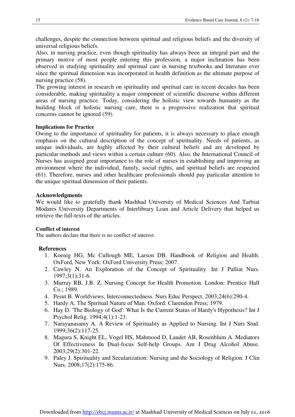challenges, despite the connection between spiritual and religious beliefs and the diversity of universal religious beliefs.

Also, in nursing practice, even though spirituality has always been an integral part and the primary motive of most people entering this profession, a major inclination has been observed in studying spirituality and spiritual care in nursing textbooks and literature ever since the spiritual dimension was incorporated in health definition as the ultimate purpose of nursing practice (58).

The growing interest in research on spirituality and spiritual care in recent decades has been considerable, making spirituality a major component of scientific discourse within different areas of nursing practice. Today, considering the holistic view towards humanity as the building block of holistic nursing care, there is a progressive realization that spiritual concerns cannot be ignored (59).

#### **Implications for Practice**

Owing to the importance of spirituality for patients, it is always necessary to place enough emphasis on the cultural description of the concept of spirituality. Needs of patients, as unique individuals, are highly affected by their cultural beliefs and are developed by particular methods and views within a certain culture (60). Also, the International Council of Nurses has assigned great importance to the role of nurses in establishing and improving an environment where the individual, family, social rights, and spiritual beliefs are respected (61). Therefore, nurses and other healthcare professionals should pay particular attention to the unique spiritual dimension of their patients.

#### **Acknowledgments**

We would like to gratefully thank Mashhad University of Medical Sciences And Tarbiat Modares University Departments of Interlibrary Loan and Article Delivery that helped us retrieve the full-texts of the articles.

#### **Conflict of interest**

The authors declare that there is no conflict of interest.

#### **References**

- 1. Koenig HG, Mc Cullough ME, Larson DB. Handbook of Religion and Health. OxFord, New York: OxFord University Press; 2007.
- 2. Cawley N. An Exploration of the Concept of Spirituality. Int J Palliat Nurs. 1997;3(1):31-6.
- 3. Murray RB, J.B. Z. Nursing Concept for Health Promotion. London: Prentice Hall Co.; 1989.
- 4. Pesut B. Worldviews, Interconnectedness. Nurs Educ Perspect. 2003;24(6):290-4.
- 5. Hardy A. The Spiritual Nature of Man. Oxford: Clarendon Press; 1979.
- 6. Hay D. 'The Biology of God': What Is the Current Status of Hardy's Hypothesis? Int J Psychol Relig. 1994;4(1):1-23.
- 7. Narayanasamy A. A Review of Spirituality as Applied to Nursing. Int J Nurs Stud. 1999;36(2):117-25.
- 8. Magura S, Knight EL, Vogel HS, Mahmood D, Laudet AB, Rosenblum A. Mediators Of Effectiveness In Dual-focus Self-help Groups. Am J Drug Alcohol Abuse. 2003;29(2):301-22.
- 9. Paley J. Spirituality and Secularization: Nursing and the Sociology of Religion. J Clin Nurs. 2008;17(2):175-86.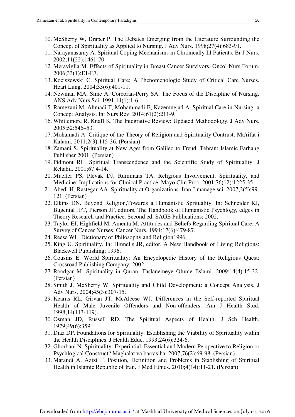10. McSherry W, Draper P. The Debates Emerging from the Literature Surrounding the Concept of Spirituality as Applied to Nursing. J Adv Nurs. 1998;27(4):683-91.

٦

- 11. Narayanasamy A. Spiritual Coping Mechanisms in Chronically Ill Patients. Br J Nurs. 2002;11(22):1461-70.
- 12. Meraviglia M. Effects of Spirituality in Breast Cancer Survivors. Oncol Nurs Forum. 2006;33(1):E1-E7.
- 13. Kociszewski C. Spiritual Care: A Phenomenologic Study of Critical Care Nurses. Heart Lung. 2004;33(6):401-11.
- 14. Newman MA, Sime A, Corcoran-Perry SA. The Focus of the Discipline of Nursing. ANS Adv Nurs Sci. 1991;14(1):1-6.
- 15. Ramezani M, Ahmadi F, Mohammadi E, Kazemnejad A. Spiritual Care in Nursing: a Concept Analysis. Int Nurs Rev. 2014;61(2):211-9.
- 16. Whittemore R, Knafl K. The Integrative Review: Updated Methodology. J Adv Nurs. 2005;52:546–53.
- 17. Mohamadi A. Critique of the Theory of Religion and Spirituality Contrust. Ma'rifat-i Kalami. 2011;2(3):115-36. (Persian)
- 18. Zamani S. Spirituality at New Age: from Galileo to Freud. Tehran: Islamic Farhang Publisher 2001. (Persian)
- 19. Pidmont RL. Spiritual Transcendence and the Scientific Study of Spirituality. J Rehabil. 2001;67:4-14.
- 20. Mueller PS, Plevak DJ, Rummans TA. Religious Involvement, Spirituality, and Medicine: Implications for Clinical Practice. Mayo Clin Proc. 2001;76(12):1225-35.
- 21. Abedi H, Rastegar AA. Spirituality at Organizations. Iran J manage sci. 2007;2(5):99- 121. (Persian)
- 22. Elkins DN. Beyond Religion,Towards a Humanistic Sprituality. In: Schneider KJ, Bugental JFT, Pierson JF, editors. The Handbook of Humanistic Psychlogy, edges in Theory Research and Practice. Second ed: SAGE Publications; 2002.
- 23. Taylor EJ, Highfield M, Amenta M. Attitudes and Beliefs Regarding Spiritual Care: A Survey of Cancer Nurses. Cancer Nurs. 1994;17(6):479-87.
- 24. Reese WL. Dictionary of Philosophy and Religion1996.
- 25. King U. Spirituality. In: Hinnells JR, editor. A New Handbook of Living Religions: Blackwell Publishing; 1996.
- 26. Cousins E. World Spirituality: An Encyclopedic History of the Religious Quest: Crossroad Publishing Company; 2002.
- 27. Roodgar M. Spirituality in Quran. Faslanemeye Olume Eslami. 2009;14(4):15-32. (Persian)
- 28. Smith J, McSherry W. Spirituality and Child Development: a Concept Analysis. J Adv Nurs. 2004;45(3):307-15.
- 29. Kearns RL, Girvan JT, McAleese WJ. Differences in the Self-reported Spiritual Health of Male Juvenile Offenders and Non-offenders. Am J Health Stud. 1998;14(113-119).
- 30. Osman JD, Russell RD. The Spiritual Aspects of Health. J Sch Health. 1979;49(6):359.
- 31. Diaz DP. Foundations for Spirituality: Establishing the Viability of Spirituality within the Health Disciplines. J Health Educ. 1993;24(6):324-6.
- 32. Ghorbani N. Spirituality: Experintial, Essential and Modern Perspective to Religion or Psychlogical Construct? Maghalat va barrasiha. 2007;76(2):69-98. (Persian)
- 33. Marandi A, Azizi F. Position, Definition and Problems in Stablishing of Spiritual Health in Islamic Republic of Iran. J Med Ethics. 2010;4(14):11-21. (Persian)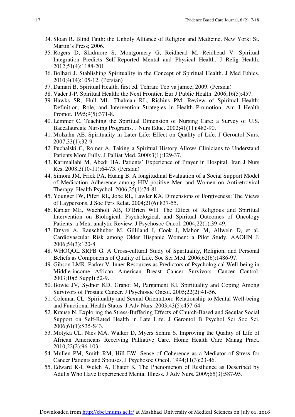- 34. Sloan R. Blind Faith: the Unholy Alliance of Religion and Medicine. New York: St. Martin's Press; 2006.
- 35. Rogers D, Skidmore S, Montgomery G, Reidhead M, Reidhead V. Spiritual Integration Predicts Self-Reported Mental and Physical Health. J Relig Health. 2012;51(4):1188-201.
- 36. Bolhari J. Stablishing Spirituality in the Concept of Spiritual Health. J Med Ethics. 2010;4(14):105-12. (Persian)
- 37. Damari B. Spiritual Health. first ed. Tehran: Teb va jamee; 2009. (Persian)
- 38. Vader J-P. Spiritual Health: the Next Frontier. Eur J Public Health. 2006;16(5):457.
- 39. Hawks SR, Hull ML, Thalman RL, Richins PM. Review of Spiritual Health: Definition, Role, and Intervention Strategies in Health Promotion. Am J Health Promot. 1995;9(5):371-8.
- 40. Lemmer C. Teaching the Spiritual Dimension of Nursing Care: a Survey of U.S. Baccalaureate Nursing Programs. J Nurs Educ. 2002;41(11):482-90.
- 41. Molzahn AE. Spirituality in Later Life: Effect on Quality of Life. J Gerontol Nurs. 2007;33(1):32-9.
- 42. Puchalski C, Romer A. Taking a Spiritual History Allows Clinicians to Understand Patients More Fully. J Palliat Med. 2000;3(1):129-37.
- 43. Karimallahi M, Abedi HA. Patients' Experience of Prayer in Hospital. Iran J Nurs Res. 2008;3(10-11):64-73. (Persian)
- 44. Simoni JM, Frick PA, Huang B. A longitudinal Evaluation of a Social Support Model of Medication Adherence among HIV-positive Men and Women on Antiretroviral Therapy. Health Psychol. 2006;25(1):74-81.
- 45. Younger JW, Piferi RL, Jobe RL, Lawler KA. Dimensions of Forgiveness: The Views of Laypersons. J Soc Pers Relat. 2004;21(6):837-55.
- 46. Kaplar ME, Wachholt AB, O'Brien WH. The Effect of Religious and Spiritual Intervention on Biological, Psychological, and Spiritual Outcomes of Oncology Patients: a Meta-analytic Review. J Psychosoc Oncol. 2004;22(1):39-49.
- 47. Etnyre A, Rauschhuber M, Gilliland I, Cook J, Mahon M, Allwein D, et al. Cardiovascular Risk among Older Hispanic Women: a Pilot Study. AAOHN J. 2006;54(3):120-8.
- 48. WHOQOL SRPB G. A Cross-cultural Study of Spirituality, Religion, and Personal Beliefs as Components of Quality of Life. Soc Sci Med. 2006;62(6):1486-97.
- 49. Gibson LMR, Parker V. Inner Resources as Predictors of Psychological Well-being in Middle-income African American Breast Cancer Survivors. Cancer Control. 2003;10(5 Suppl):52-9.
- 50. Bowie JV, Sydnor KD, Granot M, Pargament KI. Spirituality and Coping Among Survivors of Prostate Cancer. J Psychosoc Oncol. 2005;22(2):41-56.
- 51. Coleman CL. Spirituality and Sexual Orientation: Relationship to Mental Well-being and Functional Health Status. J Adv Nurs. 2003;43(5):457-64.
- 52. Krause N. Exploring the Stress-Buffering Effects of Church-Based and Secular Social Support on Self-Rated Health in Late Life. J Gerontol B Psychol Sci Soc Sci. 2006;61(1):S35-S43.
- 53. Motyka CL, Nies MA, Walker D, Myers Schim S. Improving the Quality of Life of African Americans Receiving Palliative Care. Home Health Care Manag Pract. 2010;22(2):96-103.
- 54. Mullen PM, Smith RM, Hill EW. Sense of Coherence as a Mediator of Stress for Cancer Patients and Spouses. J Psychosoc Oncol. 1994;11(3):23-46.
- 55. Edward K-l, Welch A, Chater K. The Phenomenon of Resilience as Described by Adults Who Have Experienced Mental Illness. J Adv Nurs. 2009;65(3):587-95.